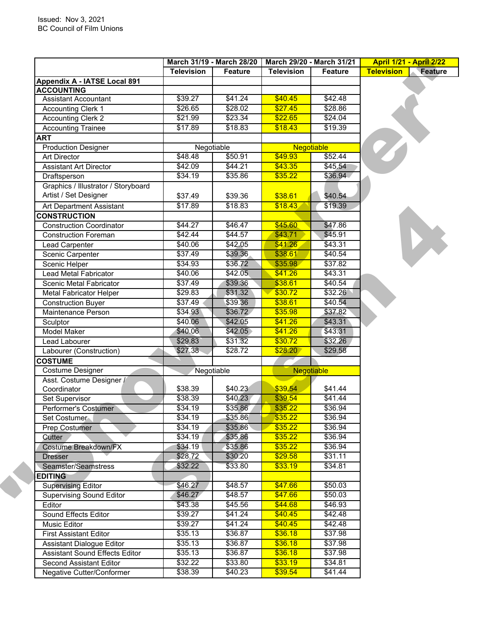|                                     | March 31/19 - March 28/20 |                | March 29/20 - March 31/21 |                | <b>April 1/21 - April 2/22</b>      |  |
|-------------------------------------|---------------------------|----------------|---------------------------|----------------|-------------------------------------|--|
|                                     | <b>Television</b>         | <b>Feature</b> | <b>Television</b>         | <b>Feature</b> | <b>Television</b><br><b>Feature</b> |  |
| Appendix A - IATSE Local 891        |                           |                |                           |                |                                     |  |
| <b>ACCOUNTING</b>                   |                           |                | \$40.45                   |                |                                     |  |
| <b>Assistant Accountant</b>         | \$39.27                   | \$41.24        |                           | \$42.48        |                                     |  |
| <b>Accounting Clerk 1</b>           | \$26.65                   | \$28.02        | \$27.45                   | \$28.86        |                                     |  |
| <b>Accounting Clerk 2</b>           | \$21.99                   | \$23.34        | \$22.65                   | \$24.04        |                                     |  |
| <b>Accounting Trainee</b>           | \$17.89                   | \$18.83        | \$18.43                   | \$19.39        |                                     |  |
| <b>ART</b>                          |                           |                |                           |                |                                     |  |
| <b>Production Designer</b>          |                           | Negotiable     | Negotiable                |                |                                     |  |
| <b>Art Director</b>                 | \$48.48                   | \$50.91        | \$49.93                   | \$52.44        |                                     |  |
| <b>Assistant Art Director</b>       | \$42.09                   | \$44.21        | \$43.35                   | \$45.54        |                                     |  |
| Draftsperson                        | \$34.19                   | \$35.86        | \$35.22                   | \$36.94        |                                     |  |
| Graphics / Illustrator / Storyboard |                           |                |                           |                |                                     |  |
| Artist / Set Designer               | \$37.49                   | \$39.36        | \$38.61                   | \$40.54        |                                     |  |
| Art Department Assistant            | \$17.89                   | \$18.83        | \$18.43                   | \$19.39        |                                     |  |
| <b>CONSTRUCTION</b>                 |                           |                |                           |                |                                     |  |
| <b>Construction Coordinator</b>     | \$44.27                   | \$46.47        | \$45.60                   | \$47.86        |                                     |  |
| <b>Construction Foreman</b>         | \$42.44                   | \$44.57        | \$43.71                   | \$45.91        |                                     |  |
| <b>Lead Carpenter</b>               | \$40.06                   | \$42.05        | \$41.26                   | \$43.31        |                                     |  |
| Scenic Carpenter                    | \$37.49                   | \$39.36        | \$38.61                   | \$40.54        |                                     |  |
| Scenic Helper                       | \$34.93                   | \$36.72        | \$35.98                   | \$37.82        |                                     |  |
| <b>Lead Metal Fabricator</b>        | \$40.06                   | \$42.05        | \$41.26                   | \$43.31        |                                     |  |
| Scenic Metal Fabricator             | \$37.49                   | \$39.36        | \$38.61                   | \$40.54        |                                     |  |
| <b>Metal Fabricator Helper</b>      | \$29.83                   | \$31.32        | \$30.72                   | \$32.26        |                                     |  |
| <b>Construction Buyer</b>           | \$37.49                   | \$39.36        | \$38.61                   | \$40.54        |                                     |  |
| Maintenance Person                  | \$34.93                   | \$36.72        | \$35.98                   | \$37.82        |                                     |  |
| Sculptor                            | \$40.06                   | \$42.05        | \$41.26                   | \$43.31        |                                     |  |
| Model Maker                         | \$40.06                   | \$42.05        | \$41.26                   | \$43.31        |                                     |  |
| Lead Labourer                       | \$29.83                   | \$31.32        | \$30.72                   | \$32.26        |                                     |  |
| Labourer (Construction)             | \$27.38                   | \$28.72        | \$28.20                   | \$29.58        |                                     |  |
| <b>COSTUME</b>                      |                           |                |                           |                |                                     |  |
| Costume Designer                    |                           | Negotiable     |                           | Negotiable     |                                     |  |
| Asst. Costume Designer /            |                           |                |                           |                |                                     |  |
| Coordinator                         | \$38.39                   | \$40.23        | \$39.54                   | \$41.44        |                                     |  |
| Set Supervisor                      | \$38.39                   | \$40.23        | \$39.54                   | \$41.44        |                                     |  |
| Performer's Costumer                | \$34.19                   | \$35.86        | \$35.22                   | \$36.94        |                                     |  |
| Set Costumer                        | \$34.19                   | \$35.86        | \$35.22                   | \$36.94        |                                     |  |
| Prep Costumer                       | \$34.19                   | \$35.86        | \$35.22                   | \$36.94        |                                     |  |
| Cutter                              | \$34.19                   | \$35.86        | \$35.22                   | \$36.94        |                                     |  |
| Costume Breakdown/FX                | \$34.19                   | \$35.86        | \$35.22                   | \$36.94        |                                     |  |
| <b>Dresser</b>                      | \$28.72                   | \$30.20        | \$29.58                   | \$31.11        |                                     |  |
| Seamster/Seamstress                 | \$32.22                   | \$33.80        | \$33.19                   | \$34.81        |                                     |  |
| <b>EDITING</b>                      |                           |                |                           |                |                                     |  |
| <b>Supervising Editor</b>           | \$46.27                   | \$48.57        | \$47.66                   | \$50.03        |                                     |  |
| <b>Supervising Sound Editor</b>     | \$46.27                   | \$48.57        | \$47.66                   | \$50.03        |                                     |  |
| Editor                              | \$43.38                   | \$45.56        | \$44.68                   | \$46.93        |                                     |  |
| Sound Effects Editor                | \$39.27                   | \$41.24        | \$40.45                   | \$42.48        |                                     |  |
| Music Editor                        | $\sqrt{$39.27}$           | \$41.24        | \$40.45                   | \$42.48        |                                     |  |
| <b>First Assistant Editor</b>       | \$35.13                   | \$36.87        | \$36.18                   | \$37.98        |                                     |  |
| Assistant Dialogue Editor           | \$35.13                   | \$36.87        | \$36.18                   | \$37.98        |                                     |  |
| Assistant Sound Effects Editor      | \$35.13                   | \$36.87        | \$36.18                   | \$37.98        |                                     |  |
| <b>Second Assistant Editor</b>      | \$32.22                   | \$33.80        | \$33.19                   | \$34.81        |                                     |  |
|                                     | \$38.39                   | \$40.23        | \$39.54                   | \$41.44        |                                     |  |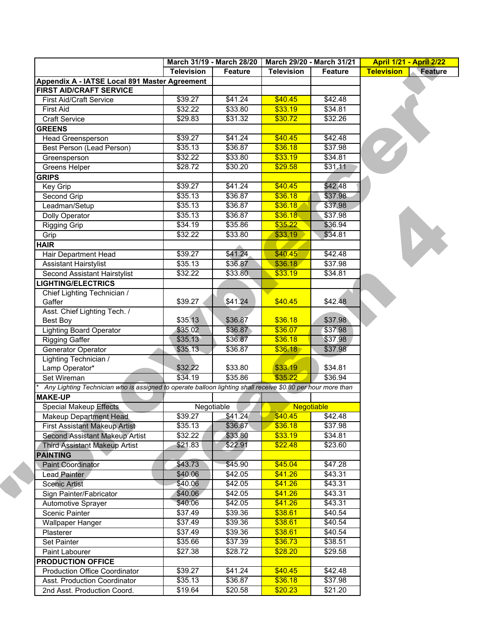|                    |                                                                                                                                                                                                                               |                                                                                                                                                                                                                                               |                                                                                                                                                                                                    | <b>April 1/21 - April 2/22</b>                                                                                                                                                                                                                                                                                                                           |  |
|--------------------|-------------------------------------------------------------------------------------------------------------------------------------------------------------------------------------------------------------------------------|-----------------------------------------------------------------------------------------------------------------------------------------------------------------------------------------------------------------------------------------------|----------------------------------------------------------------------------------------------------------------------------------------------------------------------------------------------------|----------------------------------------------------------------------------------------------------------------------------------------------------------------------------------------------------------------------------------------------------------------------------------------------------------------------------------------------------------|--|
| <b>Television</b>  |                                                                                                                                                                                                                               | <b>Television</b>                                                                                                                                                                                                                             |                                                                                                                                                                                                    | <b>Television</b><br><b>Feature</b>                                                                                                                                                                                                                                                                                                                      |  |
|                    |                                                                                                                                                                                                                               |                                                                                                                                                                                                                                               |                                                                                                                                                                                                    |                                                                                                                                                                                                                                                                                                                                                          |  |
|                    |                                                                                                                                                                                                                               |                                                                                                                                                                                                                                               |                                                                                                                                                                                                    |                                                                                                                                                                                                                                                                                                                                                          |  |
|                    |                                                                                                                                                                                                                               |                                                                                                                                                                                                                                               |                                                                                                                                                                                                    |                                                                                                                                                                                                                                                                                                                                                          |  |
|                    |                                                                                                                                                                                                                               |                                                                                                                                                                                                                                               |                                                                                                                                                                                                    |                                                                                                                                                                                                                                                                                                                                                          |  |
|                    |                                                                                                                                                                                                                               |                                                                                                                                                                                                                                               |                                                                                                                                                                                                    |                                                                                                                                                                                                                                                                                                                                                          |  |
|                    |                                                                                                                                                                                                                               |                                                                                                                                                                                                                                               |                                                                                                                                                                                                    |                                                                                                                                                                                                                                                                                                                                                          |  |
|                    |                                                                                                                                                                                                                               |                                                                                                                                                                                                                                               |                                                                                                                                                                                                    |                                                                                                                                                                                                                                                                                                                                                          |  |
|                    |                                                                                                                                                                                                                               |                                                                                                                                                                                                                                               |                                                                                                                                                                                                    |                                                                                                                                                                                                                                                                                                                                                          |  |
|                    |                                                                                                                                                                                                                               |                                                                                                                                                                                                                                               |                                                                                                                                                                                                    |                                                                                                                                                                                                                                                                                                                                                          |  |
|                    |                                                                                                                                                                                                                               |                                                                                                                                                                                                                                               |                                                                                                                                                                                                    |                                                                                                                                                                                                                                                                                                                                                          |  |
|                    |                                                                                                                                                                                                                               |                                                                                                                                                                                                                                               |                                                                                                                                                                                                    |                                                                                                                                                                                                                                                                                                                                                          |  |
|                    |                                                                                                                                                                                                                               |                                                                                                                                                                                                                                               |                                                                                                                                                                                                    |                                                                                                                                                                                                                                                                                                                                                          |  |
|                    |                                                                                                                                                                                                                               |                                                                                                                                                                                                                                               |                                                                                                                                                                                                    |                                                                                                                                                                                                                                                                                                                                                          |  |
|                    |                                                                                                                                                                                                                               |                                                                                                                                                                                                                                               |                                                                                                                                                                                                    |                                                                                                                                                                                                                                                                                                                                                          |  |
|                    |                                                                                                                                                                                                                               |                                                                                                                                                                                                                                               |                                                                                                                                                                                                    |                                                                                                                                                                                                                                                                                                                                                          |  |
|                    |                                                                                                                                                                                                                               |                                                                                                                                                                                                                                               |                                                                                                                                                                                                    |                                                                                                                                                                                                                                                                                                                                                          |  |
|                    |                                                                                                                                                                                                                               |                                                                                                                                                                                                                                               |                                                                                                                                                                                                    |                                                                                                                                                                                                                                                                                                                                                          |  |
|                    |                                                                                                                                                                                                                               |                                                                                                                                                                                                                                               |                                                                                                                                                                                                    |                                                                                                                                                                                                                                                                                                                                                          |  |
|                    |                                                                                                                                                                                                                               |                                                                                                                                                                                                                                               |                                                                                                                                                                                                    |                                                                                                                                                                                                                                                                                                                                                          |  |
|                    |                                                                                                                                                                                                                               |                                                                                                                                                                                                                                               |                                                                                                                                                                                                    |                                                                                                                                                                                                                                                                                                                                                          |  |
| \$32.22            |                                                                                                                                                                                                                               |                                                                                                                                                                                                                                               | \$34.81                                                                                                                                                                                            |                                                                                                                                                                                                                                                                                                                                                          |  |
|                    |                                                                                                                                                                                                                               |                                                                                                                                                                                                                                               |                                                                                                                                                                                                    |                                                                                                                                                                                                                                                                                                                                                          |  |
| \$39.27            | \$41.24                                                                                                                                                                                                                       | \$40.45                                                                                                                                                                                                                                       | \$42.48                                                                                                                                                                                            |                                                                                                                                                                                                                                                                                                                                                          |  |
|                    |                                                                                                                                                                                                                               |                                                                                                                                                                                                                                               |                                                                                                                                                                                                    |                                                                                                                                                                                                                                                                                                                                                          |  |
| \$35.13            | \$36.87                                                                                                                                                                                                                       | \$36.18                                                                                                                                                                                                                                       | \$37.98                                                                                                                                                                                            |                                                                                                                                                                                                                                                                                                                                                          |  |
| \$35.02            | \$36.87                                                                                                                                                                                                                       | \$36.07                                                                                                                                                                                                                                       | \$37.98                                                                                                                                                                                            |                                                                                                                                                                                                                                                                                                                                                          |  |
| \$35.13            | \$36.87                                                                                                                                                                                                                       | \$36.18                                                                                                                                                                                                                                       | \$37.98                                                                                                                                                                                            |                                                                                                                                                                                                                                                                                                                                                          |  |
| \$35.13            | \$36.87                                                                                                                                                                                                                       | \$36.18                                                                                                                                                                                                                                       | \$37.98                                                                                                                                                                                            |                                                                                                                                                                                                                                                                                                                                                          |  |
|                    |                                                                                                                                                                                                                               |                                                                                                                                                                                                                                               |                                                                                                                                                                                                    |                                                                                                                                                                                                                                                                                                                                                          |  |
| \$32.22            | \$33.80                                                                                                                                                                                                                       | \$33.19                                                                                                                                                                                                                                       | \$34.81                                                                                                                                                                                            |                                                                                                                                                                                                                                                                                                                                                          |  |
| \$34.19            | \$35.86                                                                                                                                                                                                                       | \$35.22                                                                                                                                                                                                                                       | \$36.94                                                                                                                                                                                            |                                                                                                                                                                                                                                                                                                                                                          |  |
|                    |                                                                                                                                                                                                                               |                                                                                                                                                                                                                                               |                                                                                                                                                                                                    |                                                                                                                                                                                                                                                                                                                                                          |  |
|                    |                                                                                                                                                                                                                               |                                                                                                                                                                                                                                               |                                                                                                                                                                                                    |                                                                                                                                                                                                                                                                                                                                                          |  |
|                    |                                                                                                                                                                                                                               |                                                                                                                                                                                                                                               |                                                                                                                                                                                                    |                                                                                                                                                                                                                                                                                                                                                          |  |
| \$39.27            | \$41.24                                                                                                                                                                                                                       | \$40.45                                                                                                                                                                                                                                       | \$42.48                                                                                                                                                                                            |                                                                                                                                                                                                                                                                                                                                                          |  |
| \$35.13            | \$36.87                                                                                                                                                                                                                       | \$36.18                                                                                                                                                                                                                                       | \$37.98                                                                                                                                                                                            |                                                                                                                                                                                                                                                                                                                                                          |  |
| \$32.22            | \$33.80                                                                                                                                                                                                                       | \$33.19                                                                                                                                                                                                                                       | \$34.81                                                                                                                                                                                            |                                                                                                                                                                                                                                                                                                                                                          |  |
| \$21.83            | \$22.91                                                                                                                                                                                                                       | \$22.48                                                                                                                                                                                                                                       | \$23.60                                                                                                                                                                                            |                                                                                                                                                                                                                                                                                                                                                          |  |
|                    |                                                                                                                                                                                                                               |                                                                                                                                                                                                                                               |                                                                                                                                                                                                    |                                                                                                                                                                                                                                                                                                                                                          |  |
| \$43.73            | \$45.90                                                                                                                                                                                                                       | \$45.04                                                                                                                                                                                                                                       | \$47.28                                                                                                                                                                                            |                                                                                                                                                                                                                                                                                                                                                          |  |
| \$40.06            | \$42.05                                                                                                                                                                                                                       | \$41.26                                                                                                                                                                                                                                       | \$43.31                                                                                                                                                                                            |                                                                                                                                                                                                                                                                                                                                                          |  |
| \$40.06            | \$42.05                                                                                                                                                                                                                       | \$41.26                                                                                                                                                                                                                                       | \$43.31                                                                                                                                                                                            |                                                                                                                                                                                                                                                                                                                                                          |  |
| \$40.06            | \$42.05                                                                                                                                                                                                                       | \$41.26                                                                                                                                                                                                                                       | \$43.31                                                                                                                                                                                            |                                                                                                                                                                                                                                                                                                                                                          |  |
| \$40.06            | \$42.05                                                                                                                                                                                                                       | \$41.26                                                                                                                                                                                                                                       | \$43.31                                                                                                                                                                                            |                                                                                                                                                                                                                                                                                                                                                          |  |
| \$37.49            | \$39.36                                                                                                                                                                                                                       |                                                                                                                                                                                                                                               | \$40.54                                                                                                                                                                                            |                                                                                                                                                                                                                                                                                                                                                          |  |
|                    |                                                                                                                                                                                                                               |                                                                                                                                                                                                                                               |                                                                                                                                                                                                    |                                                                                                                                                                                                                                                                                                                                                          |  |
|                    | \$39.36                                                                                                                                                                                                                       | \$38.61                                                                                                                                                                                                                                       | \$40.54                                                                                                                                                                                            |                                                                                                                                                                                                                                                                                                                                                          |  |
|                    |                                                                                                                                                                                                                               |                                                                                                                                                                                                                                               |                                                                                                                                                                                                    |                                                                                                                                                                                                                                                                                                                                                          |  |
| \$37.49            |                                                                                                                                                                                                                               |                                                                                                                                                                                                                                               |                                                                                                                                                                                                    |                                                                                                                                                                                                                                                                                                                                                          |  |
| \$35.66            | \$37.39                                                                                                                                                                                                                       | \$36.73                                                                                                                                                                                                                                       | \$38.51                                                                                                                                                                                            |                                                                                                                                                                                                                                                                                                                                                          |  |
| \$27.38            | \$28.72                                                                                                                                                                                                                       | \$28.20                                                                                                                                                                                                                                       | \$29.58                                                                                                                                                                                            |                                                                                                                                                                                                                                                                                                                                                          |  |
|                    |                                                                                                                                                                                                                               |                                                                                                                                                                                                                                               |                                                                                                                                                                                                    |                                                                                                                                                                                                                                                                                                                                                          |  |
| \$39.27<br>\$35.13 | \$41.24<br>\$36.87                                                                                                                                                                                                            | \$40.45<br>\$36.18                                                                                                                                                                                                                            | \$42.48<br>\$37.98                                                                                                                                                                                 |                                                                                                                                                                                                                                                                                                                                                          |  |
|                    | Appendix A - IATSE Local 891 Master Agreement<br>\$39.27<br>\$32.22<br>\$29.83<br>\$39.27<br>\$35.13<br>\$32.22<br>\$28.72<br>\$39.27<br>\$35.13<br>\$35.13<br>\$35.13<br>\$34.19<br>\$32.22<br>\$39.27<br>\$35.13<br>\$37.49 | March 31/19 - March 28/20<br>Feature<br>\$41.24<br>\$33.80<br>\$31.32<br>\$41.24<br>\$36.87<br>\$33.80<br>\$30.20<br>\$41.24<br>\$36.87<br>\$36.87<br>\$36.87<br>\$35.86<br>\$33.80<br>\$41.24<br>\$36.87<br>\$33.80<br>Negotiable<br>\$39.36 | \$40.45<br>\$33.19<br>\$30.72<br>\$40.45<br>\$36.18<br>\$33.19<br>\$29.58<br>\$40.45<br>\$36.18<br>\$36.18<br>\$36.18<br>\$35.22<br>\$33.19<br>\$40.45<br>\$36.18<br>\$33.19<br>\$38.61<br>\$38.61 | March 29/20 - March 31/21<br>Feature<br>\$42.48<br>\$34.81<br>\$32.26<br>\$42.48<br>\$37.98<br>\$34.81<br>\$31.11<br>\$42.48<br>\$37.98<br>\$37.98<br>\$37.98<br>\$36.94<br>\$34.81<br>\$42.48<br>\$37.98<br>Any Lighting Technician who is assigned to operate balloon lighting shall receive \$0.80 per hour more than<br><b>Negotiable</b><br>\$40.54 |  |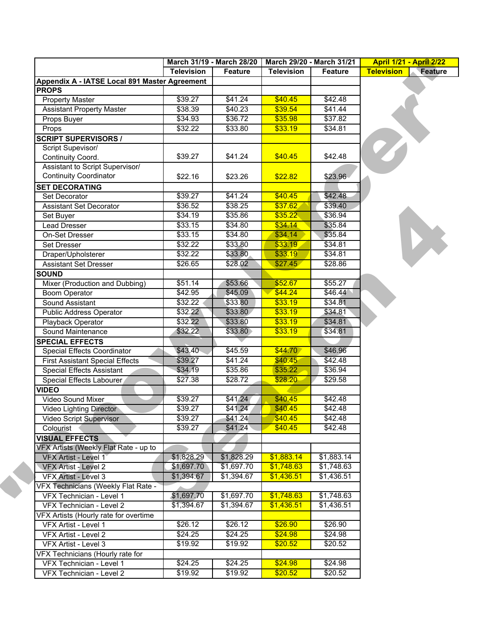|                                                                 |                   | March 31/19 - March 28/20 | March 29/20 - March 31/21 |                 | <b>April 1/21 - April 2/22</b>      |  |
|-----------------------------------------------------------------|-------------------|---------------------------|---------------------------|-----------------|-------------------------------------|--|
|                                                                 | <b>Television</b> | Feature                   | <b>Television</b>         | Feature         | <b>Television</b><br><b>Feature</b> |  |
| Appendix A - IATSE Local 891 Master Agreement                   |                   |                           |                           |                 |                                     |  |
| <b>PROPS</b>                                                    |                   |                           |                           |                 |                                     |  |
| <b>Property Master</b>                                          | \$39.27           | \$41.24                   | \$40.45                   | \$42.48         |                                     |  |
| <b>Assistant Property Master</b>                                | \$38.39           | \$40.23                   | \$39.54                   | $\sqrt{$41.44}$ |                                     |  |
| Props Buyer                                                     | \$34.93           | \$36.72                   | \$35.98                   | \$37.82         |                                     |  |
| Props                                                           | \$32.22           | \$33.80                   | \$33.19                   | \$34.81         |                                     |  |
| <b>SCRIPT SUPERVISORS /</b>                                     |                   |                           |                           |                 |                                     |  |
| Script Supevisor/                                               |                   |                           |                           |                 |                                     |  |
| Continuity Coord.                                               | \$39.27           | \$41.24                   | \$40.45                   | \$42.48         |                                     |  |
| Assistant to Script Supervisor/                                 |                   |                           |                           |                 |                                     |  |
| <b>Continuity Coordinator</b>                                   | \$22.16           | \$23.26                   | \$22.82                   | \$23.96         |                                     |  |
| <b>SET DECORATING</b>                                           |                   |                           |                           |                 |                                     |  |
| Set Decorator                                                   | \$39.27           | \$41.24                   | \$40.45                   | \$42.48         |                                     |  |
| Assistant Set Decorator                                         | \$36.52           | \$38.25                   | \$37.62                   | \$39.40         |                                     |  |
| Set Buyer                                                       | \$34.19           | \$35.86                   | \$35.22                   | \$36.94         |                                     |  |
| Lead Dresser                                                    | \$33.15           | \$34.80                   | \$34.14                   | \$35.84         |                                     |  |
| On-Set Dresser                                                  | \$33.15           | \$34.80                   | \$34.14                   | \$35.84         |                                     |  |
| <b>Set Dresser</b>                                              | \$32.22           | \$33.80                   | \$33.19                   | \$34.81         |                                     |  |
| Draper/Upholsterer                                              | \$32.22           | \$33.80                   | \$33.19                   | \$34.81         |                                     |  |
| <b>Assistant Set Dresser</b>                                    | \$26.65           | \$28.02                   | \$27.45                   | \$28.86         |                                     |  |
| <b>SOUND</b>                                                    |                   |                           |                           |                 |                                     |  |
| Mixer (Production and Dubbing)                                  | \$51.14           | \$53.66                   | \$52.67                   | \$55.27         |                                     |  |
| <b>Boom Operator</b>                                            | \$42.95           | \$45.09                   | \$44.24                   | \$46.44         |                                     |  |
| Sound Assistant                                                 | \$32.22           | \$33.80                   | \$33.19                   | \$34.81         |                                     |  |
| Public Address Operator                                         | \$32.22           | \$33.80                   | \$33.19                   | \$34.81         |                                     |  |
| Playback Operator                                               | \$32.22           | \$33.80                   | \$33.19                   | \$34.81         |                                     |  |
| Sound Maintenance                                               | \$32.22           | \$33.80                   | \$33.19                   | \$34.81         |                                     |  |
| <b>SPECIAL EFFECTS</b>                                          |                   |                           |                           |                 |                                     |  |
| Special Effects Coordinator                                     | \$43.40           | \$45.59                   | \$44.70                   | \$46.96         |                                     |  |
| <b>First Assistant Special Effects</b>                          | \$39.27           | \$41.24                   | \$40.45                   | \$42.48         |                                     |  |
| <b>Special Effects Assistant</b>                                | \$34.19           | \$35.86                   | \$35.22                   | \$36.94         |                                     |  |
| Special Effects Labourer                                        | \$27.38           | \$28.72                   | \$28.20                   | \$29.58         |                                     |  |
| <b>VIDEO</b>                                                    |                   |                           |                           |                 |                                     |  |
| Video Sound Mixer                                               | \$39.27           | \$41.24                   | \$40.45                   | \$42.48         |                                     |  |
| Video Lighting Director                                         | \$39.27           | \$41.24                   | \$40.45                   | \$42.48         |                                     |  |
| Video Script Supervisor                                         | \$39.27           | \$41.24                   | \$40.45                   | \$42.48         |                                     |  |
| Colourist                                                       | \$39.27           | \$41.24                   | \$40.45                   | \$42.48         |                                     |  |
| <b>VISUAL EFFECTS</b>                                           |                   |                           |                           |                 |                                     |  |
| VFX Artists (Weekly Flat Rate - up to                           |                   |                           |                           |                 |                                     |  |
| <b>VFX Artist - Level 1</b>                                     | \$1,828.29        | \$1,828.29                | \$1,883.14                | \$1,883.14      |                                     |  |
| VFX Artist - Level 2                                            | \$1,697.70        | \$1,697.70                | \$1,748.63                | \$1,748.63      |                                     |  |
| VFX Artist - Level 3                                            | \$1,394.67        | \$1,394.67                | \$1,436.51                | \$1,436.51      |                                     |  |
|                                                                 |                   |                           |                           |                 |                                     |  |
| VFX Technicians (Weekly Flat Rate -<br>VFX Technician - Level 1 | \$1,697.70        | \$1,697.70                | \$1,748.63                | \$1,748.63      |                                     |  |
|                                                                 | \$1,394.67        |                           |                           |                 |                                     |  |
| VFX Technician - Level 2                                        |                   | \$1,394.67                | \$1,436.51                | \$1,436.51      |                                     |  |
| VFX Artists (Hourly rate for overtime                           |                   |                           |                           |                 |                                     |  |
| VFX Artist - Level 1                                            | \$26.12           | \$26.12                   | \$26.90                   | \$26.90         |                                     |  |
| VFX Artist - Level 2                                            | \$24.25           | \$24.25                   | \$24.98                   | \$24.98         |                                     |  |
| VFX Artist - Level 3                                            | \$19.92           | \$19.92                   | \$20.52                   | \$20.52         |                                     |  |
| VFX Technicians (Hourly rate for                                |                   |                           |                           |                 |                                     |  |
| VFX Technician - Level 1                                        | \$24.25           | \$24.25                   | \$24.98                   | \$24.98         |                                     |  |
| VFX Technician - Level 2                                        | \$19.92           | \$19.92                   | \$20.52                   | \$20.52         |                                     |  |